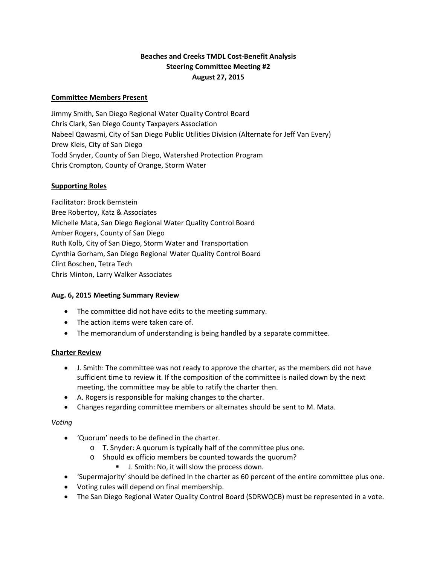# **Beaches and Creeks TMDL Cost‐Benefit Analysis Steering Committee Meeting #2 August 27, 2015**

## **Committee Members Present**

Jimmy Smith, San Diego Regional Water Quality Control Board Chris Clark, San Diego County Taxpayers Association Nabeel Qawasmi, City of San Diego Public Utilities Division (Alternate for Jeff Van Every) Drew Kleis, City of San Diego Todd Snyder, County of San Diego, Watershed Protection Program Chris Crompton, County of Orange, Storm Water

## **Supporting Roles**

Facilitator: Brock Bernstein Bree Robertoy, Katz & Associates Michelle Mata, San Diego Regional Water Quality Control Board Amber Rogers, County of San Diego Ruth Kolb, City of San Diego, Storm Water and Transportation Cynthia Gorham, San Diego Regional Water Quality Control Board Clint Boschen, Tetra Tech Chris Minton, Larry Walker Associates

### **Aug. 6, 2015 Meeting Summary Review**

- The committee did not have edits to the meeting summary.
- The action items were taken care of.
- The memorandum of understanding is being handled by a separate committee.

### **Charter Review**

- J. Smith: The committee was not ready to approve the charter, as the members did not have sufficient time to review it. If the composition of the committee is nailed down by the next meeting, the committee may be able to ratify the charter then.
- A. Rogers is responsible for making changes to the charter.
- Changes regarding committee members or alternates should be sent to M. Mata.

### *Voting*

- 'Quorum' needs to be defined in the charter.
	- o T. Snyder: A quorum is typically half of the committee plus one.
	- o Should ex officio members be counted towards the quorum?
		- J. Smith: No, it will slow the process down.
- 'Supermajority' should be defined in the charter as 60 percent of the entire committee plus one.
- Voting rules will depend on final membership.
- The San Diego Regional Water Quality Control Board (SDRWQCB) must be represented in a vote.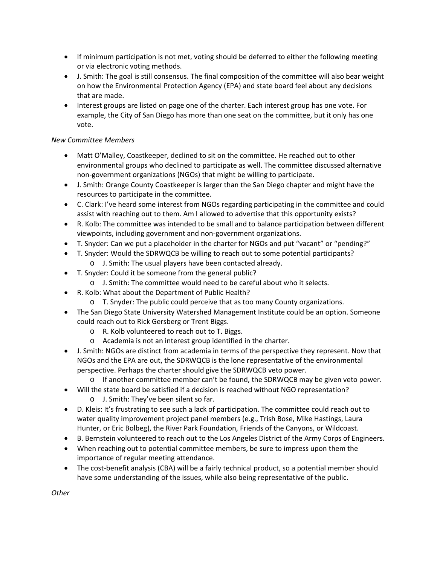- If minimum participation is not met, voting should be deferred to either the following meeting or via electronic voting methods.
- J. Smith: The goal is still consensus. The final composition of the committee will also bear weight on how the Environmental Protection Agency (EPA) and state board feel about any decisions that are made.
- Interest groups are listed on page one of the charter. Each interest group has one vote. For example, the City of San Diego has more than one seat on the committee, but it only has one vote.

## *New Committee Members*

- Matt O'Malley, Coastkeeper, declined to sit on the committee. He reached out to other environmental groups who declined to participate as well. The committee discussed alternative non‐government organizations (NGOs) that might be willing to participate.
- J. Smith: Orange County Coastkeeper is larger than the San Diego chapter and might have the resources to participate in the committee.
- C. Clark: I've heard some interest from NGOs regarding participating in the committee and could assist with reaching out to them. Am I allowed to advertise that this opportunity exists?
- R. Kolb: The committee was intended to be small and to balance participation between different viewpoints, including government and non‐government organizations.
- T. Snyder: Can we put a placeholder in the charter for NGOs and put "vacant" or "pending?"
- T. Snyder: Would the SDRWQCB be willing to reach out to some potential participants?
	- o J. Smith: The usual players have been contacted already.
- T. Snyder: Could it be someone from the general public?
	- o J. Smith: The committee would need to be careful about who it selects.
- R. Kolb: What about the Department of Public Health?
	- o T. Snyder: The public could perceive that as too many County organizations.
- The San Diego State University Watershed Management Institute could be an option. Someone could reach out to Rick Gersberg or Trent Biggs.
	- o R. Kolb volunteered to reach out to T. Biggs.
	- o Academia is not an interest group identified in the charter.
- J. Smith: NGOs are distinct from academia in terms of the perspective they represent. Now that NGOs and the EPA are out, the SDRWQCB is the lone representative of the environmental perspective. Perhaps the charter should give the SDRWQCB veto power.
	- o If another committee member can't be found, the SDRWQCB may be given veto power.
- Will the state board be satisfied if a decision is reached without NGO representation? o J. Smith: They've been silent so far.
- D. Kleis: It's frustrating to see such a lack of participation. The committee could reach out to water quality improvement project panel members (e.g., Trish Bose, Mike Hastings, Laura Hunter, or Eric Bolbeg), the River Park Foundation, Friends of the Canyons, or Wildcoast.
- B. Bernstein volunteered to reach out to the Los Angeles District of the Army Corps of Engineers.
- When reaching out to potential committee members, be sure to impress upon them the importance of regular meeting attendance.
- The cost-benefit analysis (CBA) will be a fairly technical product, so a potential member should have some understanding of the issues, while also being representative of the public.

*Other*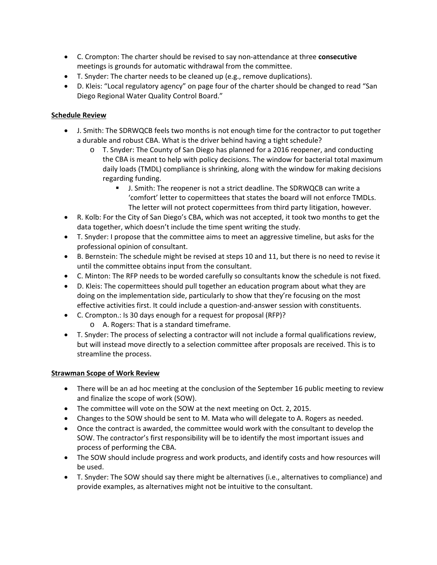- C. Crompton: The charter should be revised to say non‐attendance at three **consecutive** meetings is grounds for automatic withdrawal from the committee.
- T. Snyder: The charter needs to be cleaned up (e.g., remove duplications).
- D. Kleis: "Local regulatory agency" on page four of the charter should be changed to read "San Diego Regional Water Quality Control Board."

## **Schedule Review**

- J. Smith: The SDRWQCB feels two months is not enough time for the contractor to put together a durable and robust CBA. What is the driver behind having a tight schedule?
	- o T. Snyder: The County of San Diego has planned for a 2016 reopener, and conducting the CBA is meant to help with policy decisions. The window for bacterial total maximum daily loads (TMDL) compliance is shrinking, along with the window for making decisions regarding funding.
		- J. Smith: The reopener is not a strict deadline. The SDRWQCB can write a 'comfort' letter to copermittees that states the board will not enforce TMDLs. The letter will not protect copermittees from third party litigation, however.
- R. Kolb: For the City of San Diego's CBA, which was not accepted, it took two months to get the data together, which doesn't include the time spent writing the study.
- T. Snyder: I propose that the committee aims to meet an aggressive timeline, but asks for the professional opinion of consultant.
- B. Bernstein: The schedule might be revised at steps 10 and 11, but there is no need to revise it until the committee obtains input from the consultant.
- C. Minton: The RFP needs to be worded carefully so consultants know the schedule is not fixed.
- D. Kleis: The copermittees should pull together an education program about what they are doing on the implementation side, particularly to show that they're focusing on the most effective activities first. It could include a question-and-answer session with constituents.
- C. Crompton.: Is 30 days enough for a request for proposal (RFP)?
	- o A. Rogers: That is a standard timeframe.
- T. Snyder: The process of selecting a contractor will not include a formal qualifications review, but will instead move directly to a selection committee after proposals are received. This is to streamline the process.

### **Strawman Scope of Work Review**

- There will be an ad hoc meeting at the conclusion of the September 16 public meeting to review and finalize the scope of work (SOW).
- The committee will vote on the SOW at the next meeting on Oct. 2, 2015.
- Changes to the SOW should be sent to M. Mata who will delegate to A. Rogers as needed.
- Once the contract is awarded, the committee would work with the consultant to develop the SOW. The contractor's first responsibility will be to identify the most important issues and process of performing the CBA.
- The SOW should include progress and work products, and identify costs and how resources will be used.
- T. Snyder: The SOW should say there might be alternatives (i.e., alternatives to compliance) and provide examples, as alternatives might not be intuitive to the consultant.